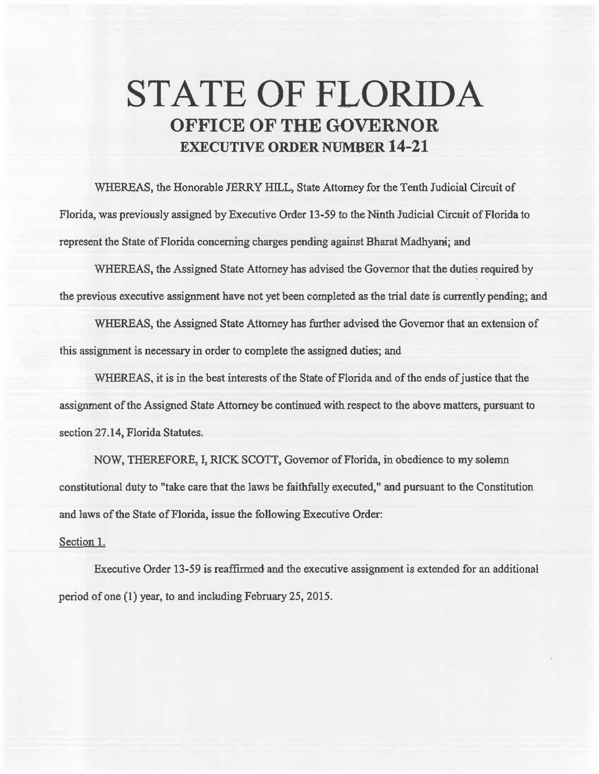## **STATE OF FLORIDA OFFICE OF THE GOVERNOR EXECUTIVE ORDER NUMBER 14-21**

WHEREAS, the Honorable JERRY HILL, State Attorney for the Tenth Judicial Circuit of Florida, was previously assigned by Executive Order 13-59 to the Ninth Judicial Circuit of Florida to represent the State of Florida concerning charges pending against Bharat Madhyani; and

WHEREAS, the Assigned State Attorney has advised the Governor that the duties required by the previous executive assignment have not yet been completed as the trial date is currently pending; and

WHEREAS, the Assigned State Attorney has further advised the Governor that an extension of this assignment is necessary in order to complete the assigned duties; and

WHEREAS, it is in the best interests of the State of Florida and of the ends of justice that the assignment of the Assigned State Attorney be continued with respect to the above matters, pursuant to section 27 .14, Florida Statutes.

NOW, THEREFORE, I, RICK SCOTT, Governor of Florida, in obedience to my solemn constitutional duty to "take care that the laws be faithfully executed," and pursuant to the Constitution and laws of the State of Florida, issue the following Executive Order:

## Section 1.

Executive Order 13-59 is reaffirmed and the executive assignment is extended for an additional period of one (1) year, to and including February 25, 2015.